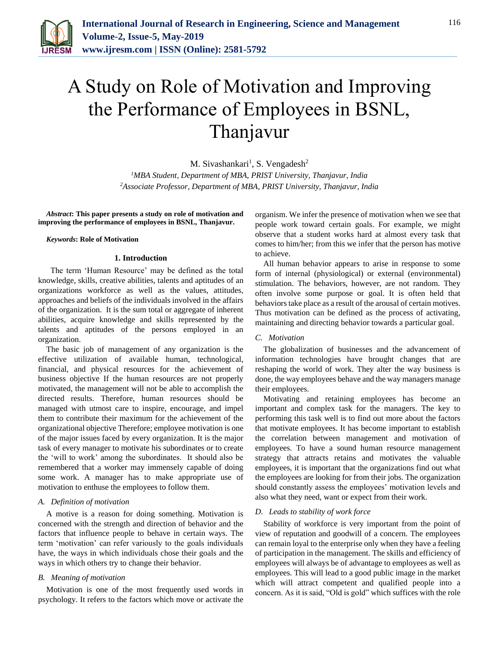

# A Study on Role of Motivation and Improving the Performance of Employees in BSNL, Thanjavur

M. Sivashankari<sup>1</sup>, S. Vengadesh<sup>2</sup> *<sup>1</sup>MBA Student, Department of MBA, PRIST University, Thanjavur, India 2Associate Professor, Department of MBA, PRIST University, Thanjavur, India*

*Abstract***: This paper presents a study on role of motivation and improving the performance of employees in BSNL, Thanjavur.**

#### *Keywords***: Role of Motivation**

#### **1. Introduction**

 The term 'Human Resource' may be defined as the total knowledge, skills, creative abilities, talents and aptitudes of an organizations workforce as well as the values, attitudes, approaches and beliefs of the individuals involved in the affairs of the organization. It is the sum total or aggregate of inherent abilities, acquire knowledge and skills represented by the talents and aptitudes of the persons employed in an organization.

The basic job of management of any organization is the effective utilization of available human, technological, financial, and physical resources for the achievement of business objective If the human resources are not properly motivated, the management will not be able to accomplish the directed results. Therefore, human resources should be managed with utmost care to inspire, encourage, and impel them to contribute their maximum for the achievement of the organizational objective Therefore; employee motivation is one of the major issues faced by every organization. It is the major task of every manager to motivate his subordinates or to create the 'will to work' among the subordinates. It should also be remembered that a worker may immensely capable of doing some work. A manager has to make appropriate use of motivation to enthuse the employees to follow them.

#### *A. Definition of motivation*

A motive is a reason for doing something. Motivation is concerned with the strength and direction of behavior and the factors that influence people to behave in certain ways. The term 'motivation' can refer variously to the goals individuals have, the ways in which individuals chose their goals and the ways in which others try to change their behavior.

#### *B. Meaning of motivation*

Motivation is one of the most frequently used words in psychology. It refers to the factors which move or activate the

organism. We infer the presence of motivation when we see that people work toward certain goals. For example, we might observe that a student works hard at almost every task that comes to him/her; from this we infer that the person has motive to achieve.

All human behavior appears to arise in response to some form of internal (physiological) or external (environmental) stimulation. The behaviors, however, are not random. They often involve some purpose or goal. It is often held that behaviors take place as a result of the arousal of certain motives. Thus motivation can be defined as the process of activating, maintaining and directing behavior towards a particular goal.

#### *C. Motivation*

The globalization of businesses and the advancement of information technologies have brought changes that are reshaping the world of work. They alter the way business is done, the way employees behave and the way managers manage their employees.

Motivating and retaining employees has become an important and complex task for the managers. The key to performing this task well is to find out more about the factors that motivate employees. It has become important to establish the correlation between management and motivation of employees. To have a sound human resource management strategy that attracts retains and motivates the valuable employees, it is important that the organizations find out what the employees are looking for from their jobs. The organization should constantly assess the employees' motivation levels and also what they need, want or expect from their work.

#### *D. Leads to stability of work force*

Stability of workforce is very important from the point of view of reputation and goodwill of a concern. The employees can remain loyal to the enterprise only when they have a feeling of participation in the management. The skills and efficiency of employees will always be of advantage to employees as well as employees. This will lead to a good public image in the market which will attract competent and qualified people into a concern. As it is said, "Old is gold" which suffices with the role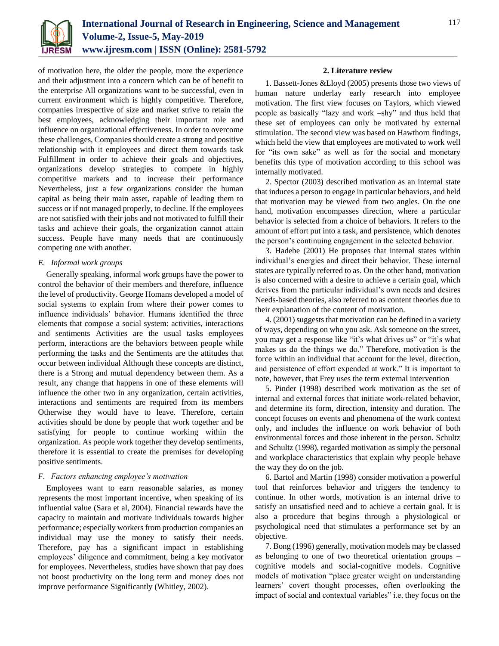

of motivation here, the older the people, more the experience and their adjustment into a concern which can be of benefit to the enterprise All organizations want to be successful, even in current environment which is highly competitive. Therefore, companies irrespective of size and market strive to retain the best employees, acknowledging their important role and influence on organizational effectiveness. In order to overcome these challenges, Companies should create a strong and positive relationship with it employees and direct them towards task Fulfillment in order to achieve their goals and objectives, organizations develop strategies to compete in highly competitive markets and to increase their performance Nevertheless, just a few organizations consider the human capital as being their main asset, capable of leading them to success or if not managed properly, to decline. If the employees are not satisfied with their jobs and not motivated to fulfill their tasks and achieve their goals, the organization cannot attain success. People have many needs that are continuously competing one with another.

## *E. Informal work groups*

Generally speaking, informal work groups have the power to control the behavior of their members and therefore, influence the level of productivity. George Homans developed a model of social systems to explain from where their power comes to influence individuals' behavior. Humans identified the three elements that compose a social system: activities, interactions and sentiments Activities are the usual tasks employees perform, interactions are the behaviors between people while performing the tasks and the Sentiments are the attitudes that occur between individual Although these concepts are distinct, there is a Strong and mutual dependency between them. As a result, any change that happens in one of these elements will influence the other two in any organization, certain activities, interactions and sentiments are required from its members Otherwise they would have to leave. Therefore, certain activities should be done by people that work together and be satisfying for people to continue working within the organization. As people work together they develop sentiments, therefore it is essential to create the premises for developing positive sentiments.

## *F. Factors enhancing employee's motivation*

Employees want to earn reasonable salaries, as money represents the most important incentive, when speaking of its influential value (Sara et al, 2004). Financial rewards have the capacity to maintain and motivate individuals towards higher performance; especially workers from production companies an individual may use the money to satisfy their needs. Therefore, pay has a significant impact in establishing employees' diligence and commitment, being a key motivator for employees. Nevertheless, studies have shown that pay does not boost productivity on the long term and money does not improve performance Significantly (Whitley, 2002).

#### **2. Literature review**

1. Bassett-Jones &Lloyd (2005) presents those two views of human nature underlay early research into employee motivation. The first view focuses on Taylors, which viewed people as basically "lazy and work –shy" and thus held that these set of employees can only be motivated by external stimulation. The second view was based on Hawthorn findings, which held the view that employees are motivated to work well for "its own sake" as well as for the social and monetary benefits this type of motivation according to this school was internally motivated.

2. Spector (2003) described motivation as an internal state that induces a person to engage in particular behaviors, and held that motivation may be viewed from two angles. On the one hand, motivation encompasses direction, where a particular behavior is selected from a choice of behaviors. It refers to the amount of effort put into a task, and persistence, which denotes the person's continuing engagement in the selected behavior.

3. Hadebe (2001) He proposes that internal states within individual's energies and direct their behavior. These internal states are typically referred to as. On the other hand, motivation is also concerned with a desire to achieve a certain goal, which derives from the particular individual's own needs and desires Needs-based theories, also referred to as content theories due to their explanation of the content of motivation.

4. (2001) suggests that motivation can be defined in a variety of ways, depending on who you ask. Ask someone on the street, you may get a response like "it's what drives us" or "it's what makes us do the things we do." Therefore, motivation is the force within an individual that account for the level, direction, and persistence of effort expended at work." It is important to note, however, that Frey uses the term external intervention

5. Pinder (1998) described work motivation as the set of internal and external forces that initiate work-related behavior, and determine its form, direction, intensity and duration. The concept focuses on events and phenomena of the work context only, and includes the influence on work behavior of both environmental forces and those inherent in the person. Schultz and Schultz (1998), regarded motivation as simply the personal and workplace characteristics that explain why people behave the way they do on the job.

6. Bartol and Martin (1998) consider motivation a powerful tool that reinforces behavior and triggers the tendency to continue. In other words, motivation is an internal drive to satisfy an unsatisfied need and to achieve a certain goal. It is also a procedure that begins through a physiological or psychological need that stimulates a performance set by an objective.

7. Bong (1996) generally, motivation models may be classed as belonging to one of two theoretical orientation groups – cognitive models and social-cognitive models. Cognitive models of motivation "place greater weight on understanding learners' covert thought processes, often overlooking the impact of social and contextual variables" i.e. they focus on the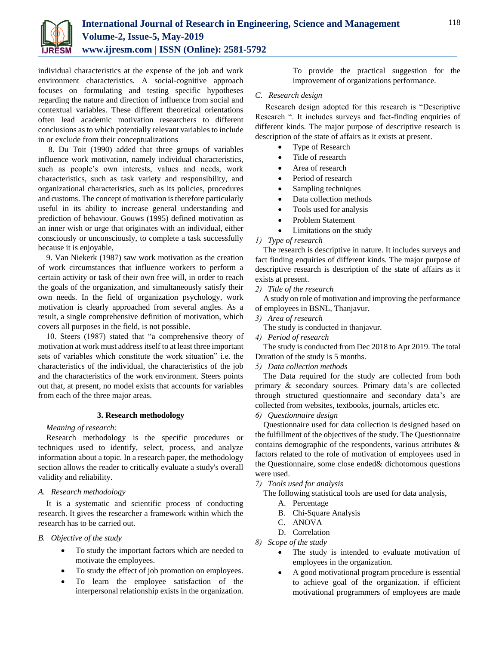

individual characteristics at the expense of the job and work environment characteristics. A social-cognitive approach focuses on formulating and testing specific hypotheses regarding the nature and direction of influence from social and contextual variables. These different theoretical orientations often lead academic motivation researchers to different conclusions as to which potentially relevant variables to include in or exclude from their conceptualizations

8. Du Toit (1990) added that three groups of variables influence work motivation, namely individual characteristics, such as people's own interests, values and needs, work characteristics, such as task variety and responsibility, and organizational characteristics, such as its policies, procedures and customs. The concept of motivation is therefore particularly useful in its ability to increase general understanding and prediction of behaviour. Gouws (1995) defined motivation as an inner wish or urge that originates with an individual, either consciously or unconsciously, to complete a task successfully because it is enjoyable,

9. Van Niekerk (1987) saw work motivation as the creation of work circumstances that influence workers to perform a certain activity or task of their own free will, in order to reach the goals of the organization, and simultaneously satisfy their own needs. In the field of organization psychology, work motivation is clearly approached from several angles. As a result, a single comprehensive definition of motivation, which covers all purposes in the field, is not possible.

10. Steers (1987) stated that "a comprehensive theory of motivation at work must address itself to at least three important sets of variables which constitute the work situation" i.e. the characteristics of the individual, the characteristics of the job and the characteristics of the work environment. Steers points out that, at present, no model exists that accounts for variables from each of the three major areas.

## **3. Research methodology**

## *Meaning of research:*

Research methodology is the specific procedures or techniques used to identify, select, process, and analyze information about a topic. In a research paper, the methodology section allows the reader to critically evaluate a study's overall validity and reliability.

## *A. Research methodology*

It is a systematic and scientific process of conducting research. It gives the researcher a framework within which the research has to be carried out.

## *B. Objective of the study*

- To study the important factors which are needed to motivate the employees.
- To study the effect of job promotion on employees.
- To learn the employee satisfaction of the interpersonal relationship exists in the organization.

To provide the practical suggestion for the improvement of organizations performance.

# *C. Research design*

Research design adopted for this research is "Descriptive Research ". It includes surveys and fact-finding enquiries of different kinds. The major purpose of descriptive research is description of the state of affairs as it exists at present.

- Type of Research
- Title of research
- Area of research
- Period of research
- Sampling techniques
- Data collection methods
- Tools used for analysis
- Problem Statement
- Limitations on the study

# *1) Type of research*

The research is descriptive in nature. It includes surveys and fact finding enquiries of different kinds. The major purpose of descriptive research is description of the state of affairs as it exists at present.

*2) Title of the research*

A study on role of motivation and improving the performance of employees in BSNL, Thanjavur.

*3) Area of research*

The study is conducted in thanjavur.

*4) Period of research*

The study is conducted from Dec 2018 to Apr 2019. The total Duration of the study is 5 months.

*5) Data collection methods*

The Data required for the study are collected from both primary & secondary sources. Primary data's are collected through structured questionnaire and secondary data's are collected from websites, textbooks, journals, articles etc.

*6) Questionnaire design*

Questionnaire used for data collection is designed based on the fulfillment of the objectives of the study. The Questionnaire contains demographic of the respondents, various attributes & factors related to the role of motivation of employees used in the Questionnaire, some close ended& dichotomous questions were used.

- *7) Tools used for analysis*
	- The following statistical tools are used for data analysis,
		- A. Percentage
		- B. Chi-Square Analysis
		- C. ANOVA
		- D. Correlation
- *8) Scope of the study*
	- The study is intended to evaluate motivation of employees in the organization.
	- A good motivational program procedure is essential to achieve goal of the organization. if efficient motivational programmers of employees are made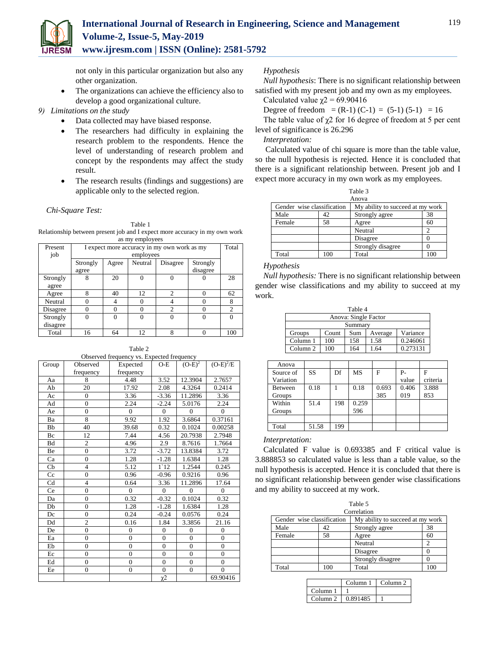

not only in this particular organization but also any other organization.

- The organizations can achieve the efficiency also to develop a good organizational culture.
- *9) Limitations on the study*
	- Data collected may have biased response.
	- The researchers had difficulty in explaining the research problem to the respondents. Hence the level of understanding of research problem and concept by the respondents may affect the study result.
	- The research results (findings and suggestions) are applicable only to the selected region.

*Chi-Square Test:*

Table 1

Relationship between present job and I expect more accuracy in my own work as my employees

| Present  | I expect more accuracy in my own work as my |       |           |          |          | Total          |
|----------|---------------------------------------------|-------|-----------|----------|----------|----------------|
| job      |                                             |       | employees |          |          |                |
|          | Strongly                                    | Agree | Neutral   | Disagree | Strongly |                |
|          | agree                                       |       |           |          | disagree |                |
| Strongly | 8                                           | 20    |           |          |          | 28             |
| agree    |                                             |       |           |          |          |                |
| Agree    |                                             | 40    | 12        |          |          | 62             |
| Neutral  |                                             | 4     |           |          | O        | 8              |
| Disagree | 0                                           | 0     |           |          | O        | $\overline{c}$ |
| Strongly | 0                                           | 0     | 0         |          | 0        | 0              |
| disagree |                                             |       |           |          |          |                |
| Total    | 16                                          | 64    | 12        | 8        | O        | 100            |

Table 2 Observed frequency vs. Expected frequency

| Group     | Observed       | $\sigma$ observed inequality vs. Expected inequality<br>Expected | O-E              | $(O-E)^2$        | $(O-E)^2/E$    |
|-----------|----------------|------------------------------------------------------------------|------------------|------------------|----------------|
|           | frequency      | frequency                                                        |                  |                  |                |
| Aa        | 8              | 4.48                                                             | 3.52             | 12.3904          | 2.7657         |
| Ab        | 20             | 17.92                                                            | 2.08             | 4.3264           | 0.2414         |
| Ac        | $\mathbf{0}$   | 3.36                                                             | $-3.36$          | 11.2896          | 3.36           |
| Ad        | $\overline{0}$ | 2.24                                                             | $-2.24$          | 5.0176           | 2.24           |
| Ae        | $\mathbf{0}$   | $\theta$                                                         | $\mathbf{0}$     | $\theta$         | $\Omega$       |
| Ba        | 8              | 9.92                                                             | 1.92             | 3.6864           | 0.37161        |
| Bb        | 40             | 39.68                                                            | 0.32             | 0.1024           | 0.00258        |
| Bc        | 12             | 7.44                                                             | 4.56             | 20.7938          | 2.7948         |
| <b>Bd</b> | $\overline{c}$ | 4.96                                                             | 2.9              | 8.7616           | 1.7664         |
| Be        | $\overline{0}$ | 3.72                                                             | $-3.72$          | 13.8384          | 3.72           |
| Ca        | $\overline{0}$ | 1.28                                                             | $-1.28$          | 1.6384           | 1.28           |
| Cb        | $\overline{4}$ | 5.12                                                             | $1$ 12           | 1.2544           | 0.245          |
| Cc        | $\overline{0}$ | 0.96                                                             | $-0.96$          | 0.9216           | 0.96           |
| Cd        | $\overline{4}$ | 0.64                                                             | 3.36             | 11.2896          | 17.64          |
| Ce        | $\overline{0}$ | $\Omega$                                                         | $\Omega$         | $\Omega$         | $\Omega$       |
| Da        | $\overline{0}$ | 0.32                                                             | $-0.32$          | 0.1024           | 0.32           |
| Db        | $\overline{0}$ | 1.28                                                             | $-1.28$          | 1.6384           | 1.28           |
| Dc        | $\overline{0}$ | 0.24                                                             | $-0.24$          | 0.0576           | 0.24           |
| Dd        | $\overline{c}$ | 0.16                                                             | 1.84             | 3.3856           | 21.16          |
| De        | $\overline{0}$ | $\overline{0}$                                                   | $\mathbf{0}$     | $\mathbf{0}$     | $\overline{0}$ |
| Ea        | $\overline{0}$ | $\overline{0}$                                                   | $\mathbf{0}$     | $\overline{0}$   | $\overline{0}$ |
| Eb        | $\overline{0}$ | $\overline{0}$                                                   | $\overline{0}$   | $\overline{0}$   | $\overline{0}$ |
| Ec        | $\overline{0}$ | $\overline{0}$                                                   | $\boldsymbol{0}$ | $\overline{0}$   | $\overline{0}$ |
| Ed        | $\overline{0}$ | $\overline{0}$                                                   | $\boldsymbol{0}$ | $\boldsymbol{0}$ | $\overline{0}$ |
| Ee        | $\overline{0}$ | $\overline{0}$                                                   | $\boldsymbol{0}$ | $\overline{0}$   | $\overline{0}$ |
|           |                |                                                                  | χ2               |                  | 69.90416       |

# *Hypothesis*

*Null hypothesis*: There is no significant relationship between satisfied with my present job and my own as my employees. Calculated value  $\chi$ <sup>2</sup> = 69.90416

Degree of freedom =  $(R-1)$   $(C-1)$  =  $(5-1)$   $(5-1)$  = 16

The table value of  $\chi$ 2 for 16 degree of freedom at 5 per cent level of significance is 26.296

*Interpretation:*

Calculated value of chi square is more than the table value, so the null hypothesis is rejected. Hence it is concluded that there is a significant relationship between. Present job and I expect more accuracy in my own work as my employees.

| Table 3                                                        |     |                   |     |  |  |
|----------------------------------------------------------------|-----|-------------------|-----|--|--|
| Anova                                                          |     |                   |     |  |  |
| Gender wise classification<br>My ability to succeed at my work |     |                   |     |  |  |
| Male                                                           | 42  | Strongly agree    | 38  |  |  |
| Female                                                         | 58  | Agree             | 60  |  |  |
|                                                                |     | Neutral           |     |  |  |
|                                                                |     | Disagree          |     |  |  |
|                                                                |     | Strongly disagree |     |  |  |
| Total                                                          | 100 | Total             | 100 |  |  |

*Hypothesis*

*Null hypothesis:* There is no significant relationship between gender wise classifications and my ability to succeed at my work.

| Table 4              |       |     |         |          |  |  |
|----------------------|-------|-----|---------|----------|--|--|
| Anova: Single Factor |       |     |         |          |  |  |
| Summary              |       |     |         |          |  |  |
| Groups               | Count | Sum | Average | Variance |  |  |
| Column 1             | 100   | 158 | 1.58    | 0.246061 |  |  |
| Column <sub>2</sub>  | 100   | 164 | 1.64    | 0.273131 |  |  |

| Anova          |       |     |       |       |       |          |
|----------------|-------|-----|-------|-------|-------|----------|
| Source of      | SS    | Df  | MS    | F     | $P -$ | F        |
| Variation      |       |     |       |       | value | criteria |
| <b>Between</b> | 0.18  |     | 0.18  | 0.693 | 0.406 | 3.888    |
| Groups         |       |     |       | 385   | 019   | 853      |
| Within         | 51.4  | 198 | 0.259 |       |       |          |
| Groups         |       |     | 596   |       |       |          |
|                |       |     |       |       |       |          |
| Total          | 51.58 | 199 |       |       |       |          |

## *Interpretation:*

Calculated F value is 0.693385 and F critical value is 3.888853 so calculated value is less than a table value, so the null hypothesis is accepted. Hence it is concluded that there is no significant relationship between gender wise classifications and my ability to succeed at my work.

| Table 5                                                        |     |                   |     |  |  |
|----------------------------------------------------------------|-----|-------------------|-----|--|--|
|                                                                |     | Correlation       |     |  |  |
| Gender wise classification<br>My ability to succeed at my work |     |                   |     |  |  |
| Male                                                           | 42  | Strongly agree    | 38  |  |  |
| Female                                                         | 58  | Agree             | 60  |  |  |
|                                                                |     | Neutral           | ↑   |  |  |
|                                                                |     | Disagree          |     |  |  |
|                                                                |     | Strongly disagree |     |  |  |
| Total                                                          | 100 | Total             | 100 |  |  |

|                     | Column 1 | Column 2 |
|---------------------|----------|----------|
| Column <sub>1</sub> |          |          |
| Column <sub>2</sub> | 0.891485 |          |